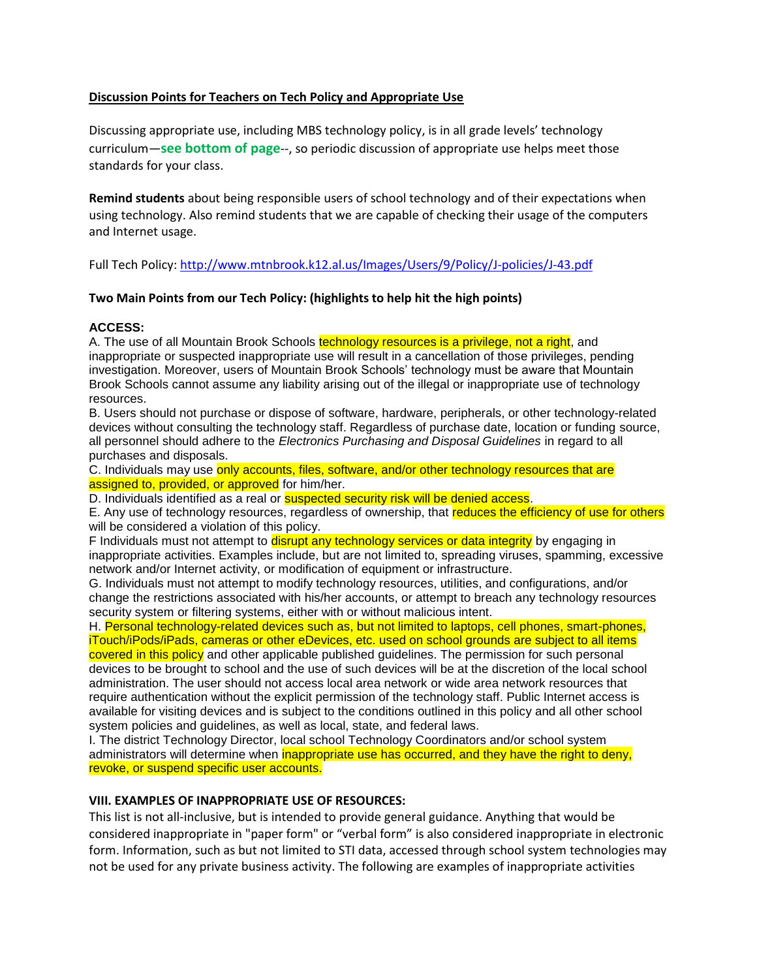## **Discussion Points for Teachers on Tech Policy and Appropriate Use**

Discussing appropriate use, including MBS technology policy, is in all grade levels' technology curriculum—**see bottom of page**--, so periodic discussion of appropriate use helps meet those standards for your class.

**Remind students** about being responsible users of school technology and of their expectations when using technology. Also remind students that we are capable of checking their usage of the computers and Internet usage.

Full Tech Policy[: http://www.mtnbrook.k12.al.us/Images/Users/9/Policy/J-policies/J-43.pdf](http://www.mtnbrook.k12.al.us/Images/Users/9/Policy/J-policies/J-43.pdf)

## **Two Main Points from our Tech Policy: (highlights to help hit the high points)**

## **ACCESS:**

A. The use of all Mountain Brook Schools technology resources is a privilege, not a right, and inappropriate or suspected inappropriate use will result in a cancellation of those privileges, pending investigation. Moreover, users of Mountain Brook Schools' technology must be aware that Mountain Brook Schools cannot assume any liability arising out of the illegal or inappropriate use of technology resources.

B. Users should not purchase or dispose of software, hardware, peripherals, or other technology-related devices without consulting the technology staff. Regardless of purchase date, location or funding source, all personnel should adhere to the *Electronics Purchasing and Disposal Guidelines* in regard to all purchases and disposals.

C. Individuals may use only accounts, files, software, and/or other technology resources that are assigned to, provided, or approved for him/her.

D. Individuals identified as a real or **suspected security risk will be denied access**.

E. Any use of technology resources, regardless of ownership, that reduces the efficiency of use for others will be considered a violation of this policy.

F Individuals must not attempt to **disrupt any technology services or data integrity** by engaging in inappropriate activities. Examples include, but are not limited to, spreading viruses, spamming, excessive network and/or Internet activity, or modification of equipment or infrastructure.

G. Individuals must not attempt to modify technology resources, utilities, and configurations, and/or change the restrictions associated with his/her accounts, or attempt to breach any technology resources security system or filtering systems, either with or without malicious intent.

H. Personal technology-related devices such as, but not limited to laptops, cell phones, smart-phones, iTouch/iPods/iPads, cameras or other eDevices, etc. used on school grounds are subject to all items

covered in this policy and other applicable published guidelines. The permission for such personal devices to be brought to school and the use of such devices will be at the discretion of the local school administration. The user should not access local area network or wide area network resources that require authentication without the explicit permission of the technology staff. Public Internet access is available for visiting devices and is subject to the conditions outlined in this policy and all other school system policies and guidelines, as well as local, state, and federal laws.

I. The district Technology Director, local school Technology Coordinators and/or school system administrators will determine when inappropriate use has occurred, and they have the right to deny, revoke, or suspend specific user accounts.

### **VIII. EXAMPLES OF INAPPROPRIATE USE OF RESOURCES:**

This list is not all-inclusive, but is intended to provide general guidance. Anything that would be considered inappropriate in "paper form" or "verbal form" is also considered inappropriate in electronic form. Information, such as but not limited to STI data, accessed through school system technologies may not be used for any private business activity. The following are examples of inappropriate activities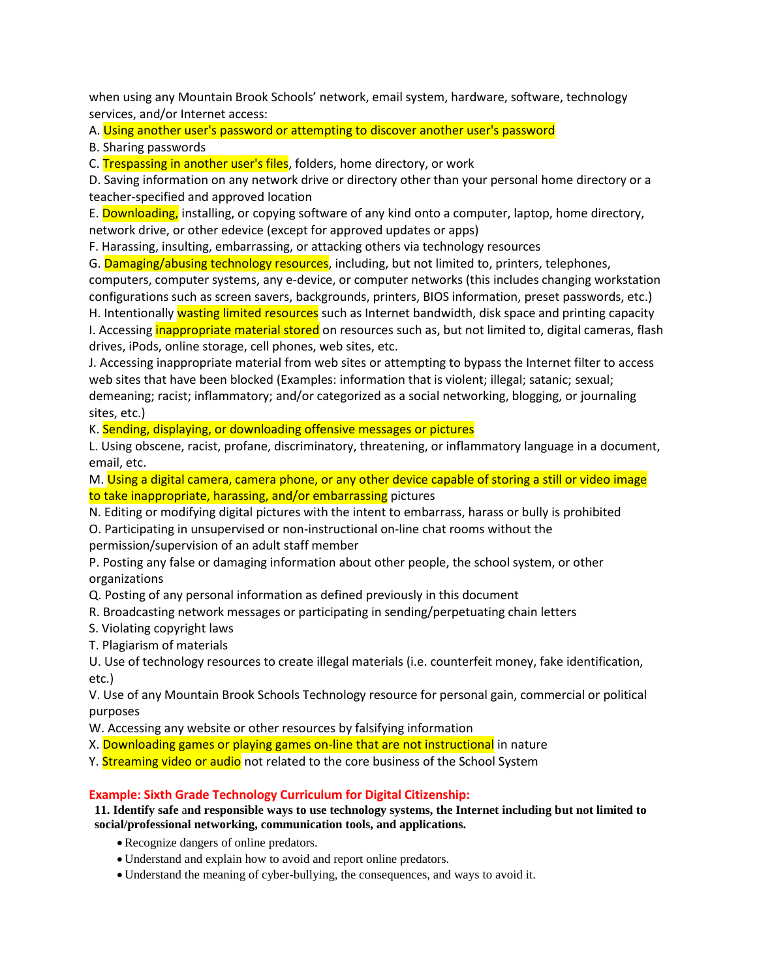when using any Mountain Brook Schools' network, email system, hardware, software, technology services, and/or Internet access:

A. Using another user's password or attempting to discover another user's password

B. Sharing passwords

C. Trespassing in another user's files, folders, home directory, or work

D. Saving information on any network drive or directory other than your personal home directory or a teacher-specified and approved location

E. Downloading, installing, or copying software of any kind onto a computer, laptop, home directory, network drive, or other edevice (except for approved updates or apps)

F. Harassing, insulting, embarrassing, or attacking others via technology resources

G. Damaging/abusing technology resources, including, but not limited to, printers, telephones, computers, computer systems, any e-device, or computer networks (this includes changing workstation configurations such as screen savers, backgrounds, printers, BIOS information, preset passwords, etc.)

H. Intentionally wasting limited resources such as Internet bandwidth, disk space and printing capacity I. Accessing *inappropriate material stored* on resources such as, but not limited to, digital cameras, flash drives, iPods, online storage, cell phones, web sites, etc.

J. Accessing inappropriate material from web sites or attempting to bypass the Internet filter to access web sites that have been blocked (Examples: information that is violent; illegal; satanic; sexual; demeaning; racist; inflammatory; and/or categorized as a social networking, blogging, or journaling sites, etc.)

K. Sending, displaying, or downloading offensive messages or pictures

L. Using obscene, racist, profane, discriminatory, threatening, or inflammatory language in a document, email, etc.

M. Using a digital camera, camera phone, or any other device capable of storing a still or video image to take inappropriate, harassing, and/or embarrassing pictures

N. Editing or modifying digital pictures with the intent to embarrass, harass or bully is prohibited

O. Participating in unsupervised or non-instructional on-line chat rooms without the permission/supervision of an adult staff member

P. Posting any false or damaging information about other people, the school system, or other organizations

Q. Posting of any personal information as defined previously in this document

- R. Broadcasting network messages or participating in sending/perpetuating chain letters
- S. Violating copyright laws
- T. Plagiarism of materials

U. Use of technology resources to create illegal materials (i.e. counterfeit money, fake identification, etc.)

V. Use of any Mountain Brook Schools Technology resource for personal gain, commercial or political purposes

W. Accessing any website or other resources by falsifying information

X. Downloading games or playing games on-line that are not instructional in nature

Y. Streaming video or audio not related to the core business of the School System

# **Example: Sixth Grade Technology Curriculum for Digital Citizenship:**

**11. Identify safe** a**nd responsible ways to use technology systems, the Internet including but not limited to social/professional networking, communication tools, and applications.**

- Recognize dangers of online predators.
- Understand and explain how to avoid and report online predators.
- Understand the meaning of cyber-bullying, the consequences, and ways to avoid it.